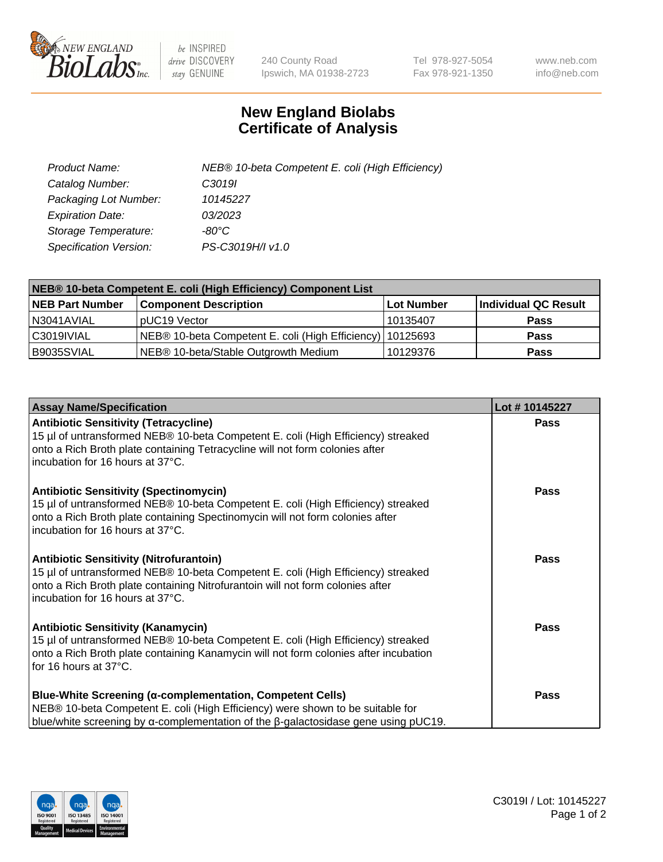

 $be$  INSPIRED drive DISCOVERY stay GENUINE

240 County Road Ipswich, MA 01938-2723 Tel 978-927-5054 Fax 978-921-1350 www.neb.com info@neb.com

## **New England Biolabs Certificate of Analysis**

| Product Name:           | NEB® 10-beta Competent E. coli (High Efficiency) |
|-------------------------|--------------------------------------------------|
| Catalog Number:         | C <sub>3019</sub>                                |
| Packaging Lot Number:   | 10145227                                         |
| <b>Expiration Date:</b> | 03/2023                                          |
| Storage Temperature:    | -80°C                                            |
| Specification Version:  | PS-C3019H/I v1.0                                 |

| NEB® 10-beta Competent E. coli (High Efficiency) Component List |                                                           |            |                      |  |
|-----------------------------------------------------------------|-----------------------------------------------------------|------------|----------------------|--|
| <b>NEB Part Number</b>                                          | <b>Component Description</b>                              | Lot Number | Individual QC Result |  |
| N3041AVIAL                                                      | pUC19 Vector                                              | 10135407   | <b>Pass</b>          |  |
| C3019IVIAL                                                      | NEB® 10-beta Competent E. coli (High Efficiency) 10125693 |            | <b>Pass</b>          |  |
| B9035SVIAL                                                      | NEB® 10-beta/Stable Outgrowth Medium                      | 10129376   | <b>Pass</b>          |  |

| <b>Assay Name/Specification</b>                                                                                                                                                                                                                          | Lot #10145227 |
|----------------------------------------------------------------------------------------------------------------------------------------------------------------------------------------------------------------------------------------------------------|---------------|
| <b>Antibiotic Sensitivity (Tetracycline)</b><br>15 µl of untransformed NEB® 10-beta Competent E. coli (High Efficiency) streaked<br>onto a Rich Broth plate containing Tetracycline will not form colonies after<br>incubation for 16 hours at 37°C.     | <b>Pass</b>   |
| <b>Antibiotic Sensitivity (Spectinomycin)</b><br>15 µl of untransformed NEB® 10-beta Competent E. coli (High Efficiency) streaked<br>onto a Rich Broth plate containing Spectinomycin will not form colonies after<br>incubation for 16 hours at 37°C.   | Pass          |
| <b>Antibiotic Sensitivity (Nitrofurantoin)</b><br>15 µl of untransformed NEB® 10-beta Competent E. coli (High Efficiency) streaked<br>onto a Rich Broth plate containing Nitrofurantoin will not form colonies after<br>incubation for 16 hours at 37°C. | <b>Pass</b>   |
| <b>Antibiotic Sensitivity (Kanamycin)</b><br>15 µl of untransformed NEB® 10-beta Competent E. coli (High Efficiency) streaked<br>onto a Rich Broth plate containing Kanamycin will not form colonies after incubation<br>for 16 hours at 37°C.           | <b>Pass</b>   |
| <b>Blue-White Screening (α-complementation, Competent Cells)</b><br>NEB® 10-beta Competent E. coli (High Efficiency) were shown to be suitable for<br>blue/white screening by α-complementation of the β-galactosidase gene using pUC19.                 | <b>Pass</b>   |